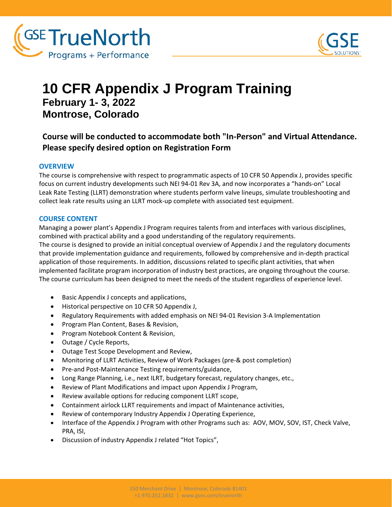



# **10 CFR Appendix J Program Training February 1- 3, 2022 Montrose, Colorado**

### **Course will be conducted to accommodate both "In-Person" and Virtual Attendance. Please specify desired option on Registration Form**

#### **OVERVIEW**

The course is comprehensive with respect to programmatic aspects of 10 CFR 50 Appendix J, provides specific focus on current industry developments such NEI 94-01 Rev 3A, and now incorporates a "hands-on" Local Leak Rate Testing (LLRT) demonstration where students perform valve lineups, simulate troubleshooting and collect leak rate results using an LLRT mock-up complete with associated test equipment.

#### **COURSE CONTENT**

Managing a power plant's Appendix J Program requires talents from and interfaces with various disciplines, combined with practical ability and a good understanding of the regulatory requirements. The course is designed to provide an initial conceptual overview of Appendix J and the regulatory documents that provide implementation guidance and requirements, followed by comprehensive and in-depth practical application of those requirements. In addition, discussions related to specific plant activities, that when implemented facilitate program incorporation of industry best practices, are ongoing throughout the course. The course curriculum has been designed to meet the needs of the student regardless of experience level.

- Basic Appendix J concepts and applications,
- Historical perspective on 10 CFR 50 Appendix J,
- Regulatory Requirements with added emphasis on NEI 94-01 Revision 3-A Implementation
- Program Plan Content, Bases & Revision,
- Program Notebook Content & Revision,
- Outage / Cycle Reports,
- Outage Test Scope Development and Review,
- Monitoring of LLRT Activities, Review of Work Packages (pre-& post completion)
- Pre-and Post-Maintenance Testing requirements/guidance,
- Long Range Planning, i.e., next ILRT, budgetary forecast, regulatory changes, etc.,
- Review of Plant Modifications and impact upon Appendix J Program,
- Review available options for reducing component LLRT scope,
- Containment airlock LLRT requirements and impact of Maintenance activities,
- Review of contemporary Industry Appendix J Operating Experience,
- Interface of the Appendix J Program with other Programs such as: AOV, MOV, SOV, IST, Check Valve, PRA, ISI,
- Discussion of industry Appendix J related "Hot Topics",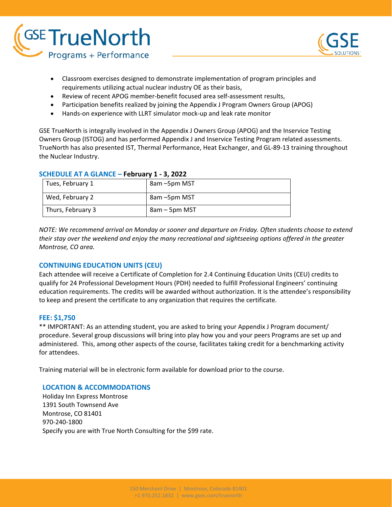



- Classroom exercises designed to demonstrate implementation of program principles and requirements utilizing actual nuclear industry OE as their basis,
- Review of recent APOG member-benefit focused area self-assessment results,
- Participation benefits realized by joining the Appendix J Program Owners Group (APOG)
- Hands-on experience with LLRT simulator mock-up and leak rate monitor

GSE TrueNorth is integrally involved in the Appendix J Owners Group (APOG) and the Inservice Testing Owners Group (ISTOG) and has performed Appendix J and Inservice Testing Program related assessments. TrueNorth has also presented IST, Thermal Performance, Heat Exchanger, and GL-89-13 training throughout the Nuclear Industry.

| Tues, February 1  | 8am –5pm MST  |
|-------------------|---------------|
| Wed, February 2   | 8am - 5pm MST |
| Thurs, February 3 | 8am – 5pm MST |

#### **SCHEDULE AT A GLANCE – February 1 - 3, 2022**

*NOTE: We recommend arrival on Monday or sooner and departure on Friday. Often students choose to extend their stay over the weekend and enjoy the many recreational and sightseeing options offered in the greater Montrose, CO area.*

#### **CONTINUING EDUCATION UNITS (CEU)**

Each attendee will receive a Certificate of Completion for 2.4 Continuing Education Units (CEU) credits to qualify for 24 Professional Development Hours (PDH) needed to fulfill Professional Engineers' continuing education requirements. The credits will be awarded without authorization. It is the attendee's responsibility to keep and present the certificate to any organization that requires the certificate.

#### **FEE: \$1,750**

\*\* IMPORTANT: As an attending student, you are asked to bring your Appendix J Program document/ procedure. Several group discussions will bring into play how you and your peers Programs are set up and administered. This, among other aspects of the course, facilitates taking credit for a benchmarking activity for attendees.

Training material will be in electronic form available for download prior to the course.

#### **LOCATION & ACCOMMODATIONS**

Holiday Inn Express Montrose 1391 South Townsend Ave Montrose, CO 81401 970-240-1800 Specify you are with True North Consulting for the \$99 rate.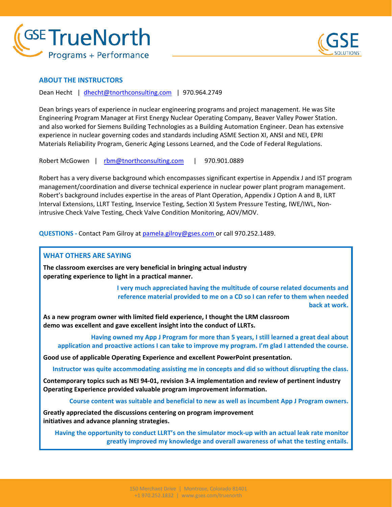



#### **ABOUT THE INSTRUCTORS**

Dean Hecht | [dhecht@tnorthconsulting.com](mailto:dhecht@tnorthconsulting.com) | 970.964.2749

Dean brings years of experience in nuclear engineering programs and project management. He was Site Engineering Program Manager at First Energy Nuclear Operating Company, Beaver Valley Power Station. and also worked for Siemens Building Technologies as a Building Automation Engineer. Dean has extensive experience in nuclear governing codes and standards including ASME Section XI, ANSI and NEI, EPRI Materials Reliability Program, Generic Aging Lessons Learned, and the Code of Federal Regulations.

Robert McGowen | [rbm@tnorthconsulting.com](mailto:rbm@tnorthconsulting.com) | 970.901.0889

Robert has a very diverse background which encompasses significant expertise in Appendix J and IST program management/coordination and diverse technical experience in nuclear power plant program management. Robert's background includes expertise in the areas of Plant Operation, Appendix J Option A and B, ILRT Interval Extensions, LLRT Testing, Inservice Testing, Section XI System Pressure Testing, IWE/IWL, Nonintrusive Check Valve Testing, Check Valve Condition Monitoring, AOV/MOV.

**QUESTIONS -** Contact Pam Gilroy at [pamela.gilroy@gses.com](mailto:pamela.gilroy@gses.com) or call 970.252.1489.

#### **WHAT OTHERS ARE SAYING**

**The classroom exercises are very beneficial in bringing actual industry operating experience to light in a practical manner.**

> **I very much appreciated having the multitude of course related documents and reference material provided to me on a CD so I can refer to them when needed back at work.**

**As a new program owner with limited field experience, I thought the LRM classroom demo was excellent and gave excellent insight into the conduct of LLRTs.**

**Having owned my App J Program for more than 5 years, I still learned a great deal about application and proactive actions I can take to improve my program. I'm glad I attended the course.**

**Good use of applicable Operating Experience and excellent PowerPoint presentation.**

**Instructor was quite accommodating assisting me in concepts and did so without disrupting the class.**

**Contemporary topics such as NEI 94-01, revision 3-A implementation and review of pertinent industry Operating Experience provided valuable program improvement information.**

**Course content was suitable and beneficial to new as well as incumbent App J Program owners.**

**Greatly appreciated the discussions centering on program improvement initiatives and advance planning strategies.**

**Having the opportunity to conduct LLRT's on the simulator mock-up with an actual leak rate monitor greatly improved my knowledge and overall awareness of what the testing entails.**